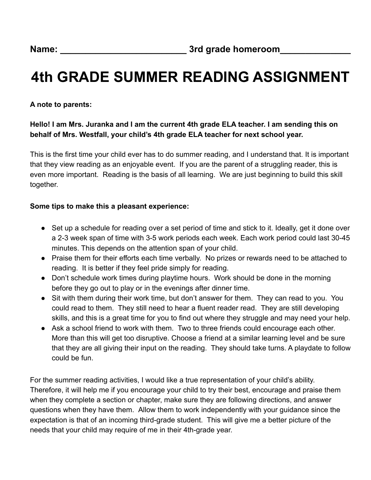## **4th GRADE SUMMER READING ASSIGNMENT**

**A note to parents:**

**Hello! I am Mrs. Juranka and I am the current 4th grade ELA teacher. I am sending this on behalf of Mrs. Westfall, your child's 4th grade ELA teacher for next school year.**

This is the first time your child ever has to do summer reading, and I understand that. It is important that they view reading as an enjoyable event. If you are the parent of a struggling reader, this is even more important. Reading is the basis of all learning. We are just beginning to build this skill together.

#### **Some tips to make this a pleasant experience:**

- Set up a schedule for reading over a set period of time and stick to it. Ideally, get it done over a 2-3 week span of time with 3-5 work periods each week. Each work period could last 30-45 minutes. This depends on the attention span of your child.
- Praise them for their efforts each time verbally. No prizes or rewards need to be attached to reading. It is better if they feel pride simply for reading.
- Don't schedule work times during playtime hours. Work should be done in the morning before they go out to play or in the evenings after dinner time.
- Sit with them during their work time, but don't answer for them. They can read to you. You could read to them. They still need to hear a fluent reader read. They are still developing skills, and this is a great time for you to find out where they struggle and may need your help.
- Ask a school friend to work with them. Two to three friends could encourage each other. More than this will get too disruptive. Choose a friend at a similar learning level and be sure that they are all giving their input on the reading. They should take turns. A playdate to follow could be fun.

For the summer reading activities, I would like a true representation of your child's ability. Therefore, it will help me if you encourage your child to try their best, encourage and praise them when they complete a section or chapter, make sure they are following directions, and answer questions when they have them. Allow them to work independently with your guidance since the expectation is that of an incoming third-grade student. This will give me a better picture of the needs that your child may require of me in their 4th-grade year.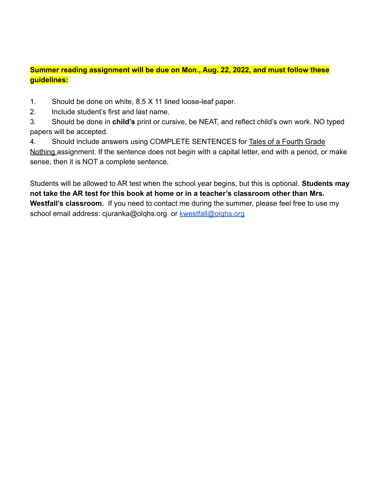#### **Summer reading assignment will be due on Mon., Aug. 22, 2022, and must follow these guidelines:**

1. Should be done on white, 8.5 X 11 lined loose-leaf paper.

2. Include student's first and last name.

3. Should be done in **child's** print or cursive, be NEAT, and reflect child's own work. NO typed papers will be accepted.

4. Should include answers using COMPLETE SENTENCES for Tales of a Fourth Grade Nothing assignment. If the sentence does not begin with a capital letter, end with a period, or make sense, then it is NOT a complete sentence.

Students will be allowed to AR test when the school year begins, but this is optional. **Students may not take the AR test for this book at home or in a teacher's classroom other than Mrs. Westfall's classroom.** If you need to contact me during the summer, please feel free to use my school email address: cjuranka@olqhs.org or kwestfall@olghs.org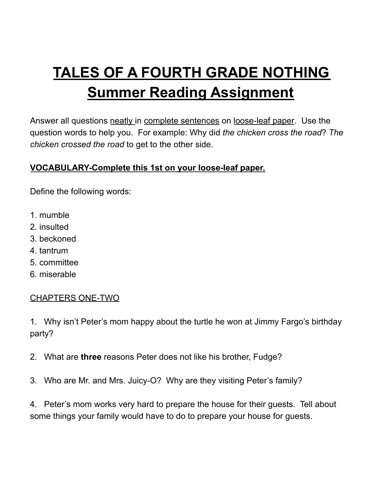# **TALES OF A FOURTH GRADE NOTHING Summer Reading Assignment**

Answer all questions neatly in complete sentences on loose-leaf paper. Use the question words to help you. For example: Why did *the chicken cross the road*? *The chicken crossed the road* to get to the other side.

## **VOCABULARY-Complete this 1st on your loose-leaf paper.**

Define the following words:

- 1. mumble
- 2. insulted
- 3. beckoned
- 4. tantrum
- 5. committee
- 6. miserable

## CHAPTERS ONE-TWO

1. Why isn't Peter's mom happy about the turtle he won at Jimmy Fargo's birthday party?

- 2. What are **three** reasons Peter does not like his brother, Fudge?
- 3. Who are Mr. and Mrs. Juicy-O? Why are they visiting Peter's family?

4. Peter's mom works very hard to prepare the house for their guests. Tell about some things your family would have to do to prepare your house for guests.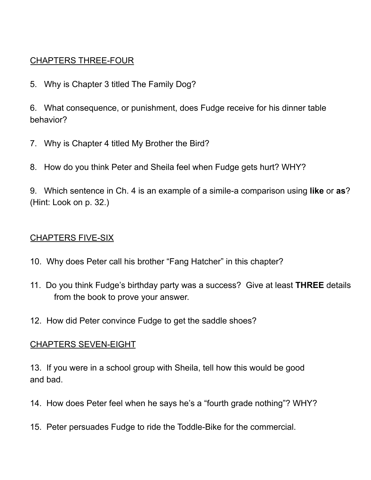### CHAPTERS THREE-FOUR

5. Why is Chapter 3 titled The Family Dog?

6. What consequence, or punishment, does Fudge receive for his dinner table behavior?

- 7. Why is Chapter 4 titled My Brother the Bird?
- 8. How do you think Peter and Sheila feel when Fudge gets hurt? WHY?

9. Which sentence in Ch. 4 is an example of a simile-a comparison using **like** or **as**? (Hint: Look on p. 32.)

#### CHAPTERS FIVE-SIX

- 10. Why does Peter call his brother "Fang Hatcher" in this chapter?
- 11. Do you think Fudge's birthday party was a success? Give at least **THREE** details from the book to prove your answer.
- 12. How did Peter convince Fudge to get the saddle shoes?

#### CHAPTERS SEVEN-EIGHT

13. If you were in a school group with Sheila, tell how this would be good and bad.

- 14. How does Peter feel when he says he's a "fourth grade nothing"? WHY?
- 15. Peter persuades Fudge to ride the Toddle-Bike for the commercial.